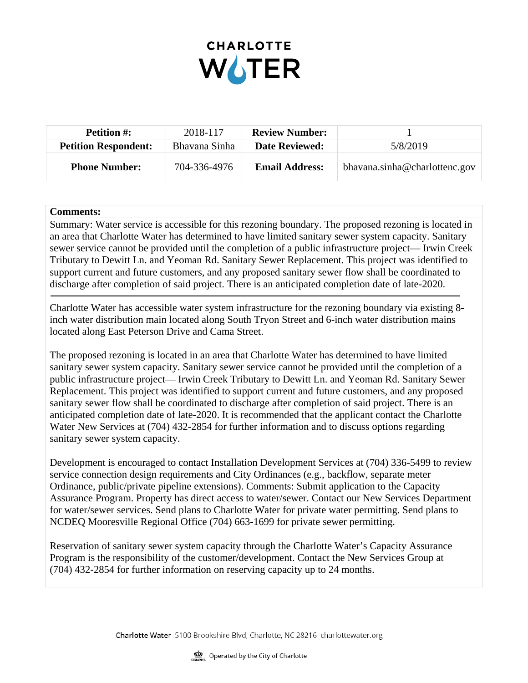

| <b>Petition #:</b>          | 2018-117      | <b>Review Number:</b> |                               |
|-----------------------------|---------------|-----------------------|-------------------------------|
| <b>Petition Respondent:</b> | Bhavana Sinha | <b>Date Reviewed:</b> | 5/8/2019                      |
| <b>Phone Number:</b>        | 704-336-4976  | <b>Email Address:</b> | bhavana.sinha@charlottenc.gov |

## **Comments:**

Summary: Water service is accessible for this rezoning boundary. The proposed rezoning is located in an area that Charlotte Water has determined to have limited sanitary sewer system capacity. Sanitary sewer service cannot be provided until the completion of a public infrastructure project— Irwin Creek Tributary to Dewitt Ln. and Yeoman Rd. Sanitary Sewer Replacement. This project was identified to support current and future customers, and any proposed sanitary sewer flow shall be coordinated to discharge after completion of said project. There is an anticipated completion date of late-2020.

Charlotte Water has accessible water system infrastructure for the rezoning boundary via existing 8 inch water distribution main located along South Tryon Street and 6-inch water distribution mains located along East Peterson Drive and Cama Street.

The proposed rezoning is located in an area that Charlotte Water has determined to have limited sanitary sewer system capacity. Sanitary sewer service cannot be provided until the completion of a public infrastructure project— Irwin Creek Tributary to Dewitt Ln. and Yeoman Rd. Sanitary Sewer Replacement. This project was identified to support current and future customers, and any proposed sanitary sewer flow shall be coordinated to discharge after completion of said project. There is an anticipated completion date of late-2020. It is recommended that the applicant contact the Charlotte Water New Services at (704) 432-2854 for further information and to discuss options regarding sanitary sewer system capacity.

Development is encouraged to contact Installation Development Services at (704) 336-5499 to review service connection design requirements and City Ordinances (e.g., backflow, separate meter Ordinance, public/private pipeline extensions). Comments: Submit application to the Capacity Assurance Program. Property has direct access to water/sewer. Contact our New Services Department for water/sewer services. Send plans to Charlotte Water for private water permitting. Send plans to NCDEQ Mooresville Regional Office (704) 663-1699 for private sewer permitting.

Reservation of sanitary sewer system capacity through the Charlotte Water's Capacity Assurance Program is the responsibility of the customer/development. Contact the New Services Group at (704) 432-2854 for further information on reserving capacity up to 24 months.

Charlotte Water 5100 Brookshire Blvd, Charlotte, NC 28216 charlottewater.org